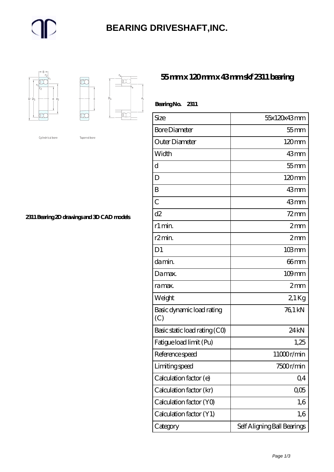#### **[BEARING DRIVESHAFT,INC.](https://trendco-vick.com)**



K Ď,  $\Box$ 

Cylindrical bore

Tapered bore

**[2311 Bearing 2D drawings and 3D CAD models](https://trendco-vick.com/pic-411297.html)**

#### **[55 mm x 120 mm x 43 mm skf 2311 bearing](https://trendco-vick.com/skf-2311-bearing/)**

| Bearing No. 2311                 |                             |
|----------------------------------|-----------------------------|
| Size                             | 55x120x43mm                 |
| <b>Bore Diameter</b>             | $55$ mm                     |
| Outer Diameter                   | $120 \text{mm}$             |
| Width                            | 43mm                        |
| d                                | $55$ mm                     |
| D                                | 120mm                       |
| B                                | 43mm                        |
| $\mathcal{C}$                    | 43mm                        |
| d2                               | $72$ mm                     |
| r1 min.                          | 2mm                         |
| r2min.                           | 2mm                         |
| D <sub>1</sub>                   | $103 \, \text{mm}$          |
| da min.                          | 66mm                        |
| Damax.                           | $109$ mm                    |
| ra max.                          | 2mm                         |
| Weight                           | 21Kg                        |
| Basic dynamic load rating<br>(C) | 76,1 kN                     |
| Basic static load rating (CO)    | 24 <sub>kN</sub>            |
| Fatigue load limit (Pu)          | 1,25                        |
| Reference speed                  | 11000r/min                  |
| Limiting speed                   | 7500r/min                   |
| Calculation factor (e)           | Q <sub>4</sub>              |
| Calculation factor (kr)          | QO5                         |
| Calculation factor (YO)          | 1,6                         |
| Calculation factor (Y1)          | 1,6                         |
| Category                         | Self Aligning Ball Bearings |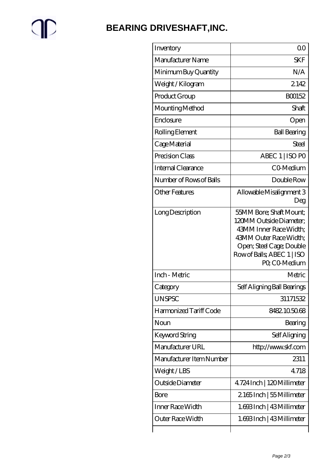# $\mathbb{P}$

### **[BEARING DRIVESHAFT,INC.](https://trendco-vick.com)**

| Inventory                | 0 <sup>0</sup>                                                                                                                                                                    |
|--------------------------|-----------------------------------------------------------------------------------------------------------------------------------------------------------------------------------|
| Manufacturer Name        | <b>SKF</b>                                                                                                                                                                        |
| Minimum Buy Quantity     | N/A                                                                                                                                                                               |
| Weight/Kilogram          | 2142                                                                                                                                                                              |
| Product Group            | BO0152                                                                                                                                                                            |
| Mounting Method          | Shaft.                                                                                                                                                                            |
| Enclosure                | Open                                                                                                                                                                              |
| Rolling Element          | <b>Ball Bearing</b>                                                                                                                                                               |
| Cage Material            | Steel                                                                                                                                                                             |
| Precision Class          | ABEC 1   ISO PO                                                                                                                                                                   |
| Internal Clearance       | CO-Medium                                                                                                                                                                         |
| Number of Rows of Balls  | Double Row                                                                                                                                                                        |
| <b>Other Features</b>    | Allowable Misalignment 3<br>Deg                                                                                                                                                   |
| Long Description         | 55MM Bore; Shaft Mount;<br>120MM Outside Diameter:<br>43MM Inner Race Width;<br>43MM Outer Race Width;<br>Open; Steel Cage; Double<br>Row of Balls, ABEC 1   ISO<br>PO, CO-Medium |
| Inch - Metric            | Metric                                                                                                                                                                            |
| Category                 | Self Aligning Ball Bearings                                                                                                                                                       |
| <b>UNSPSC</b>            | 31171532                                                                                                                                                                          |
| Harmonized Tariff Code   | 8482.105068                                                                                                                                                                       |
| Noun                     | Bearing                                                                                                                                                                           |
| Keyword String           | Self Aligning                                                                                                                                                                     |
| Manufacturer URL         | http://www.skf.com                                                                                                                                                                |
| Manufacturer Item Number | 2311                                                                                                                                                                              |
| Weight/LBS               | 4718                                                                                                                                                                              |
| Outside Diameter         | 4.724 Inch   120 Millimeter                                                                                                                                                       |
| Bore                     | 2165Inch   55 Millimeter                                                                                                                                                          |
| Inner Race Width         | 1.693Inch   43Millimeter                                                                                                                                                          |
| Outer Race Width         | 1.693Inch   43Millimeter                                                                                                                                                          |
|                          |                                                                                                                                                                                   |